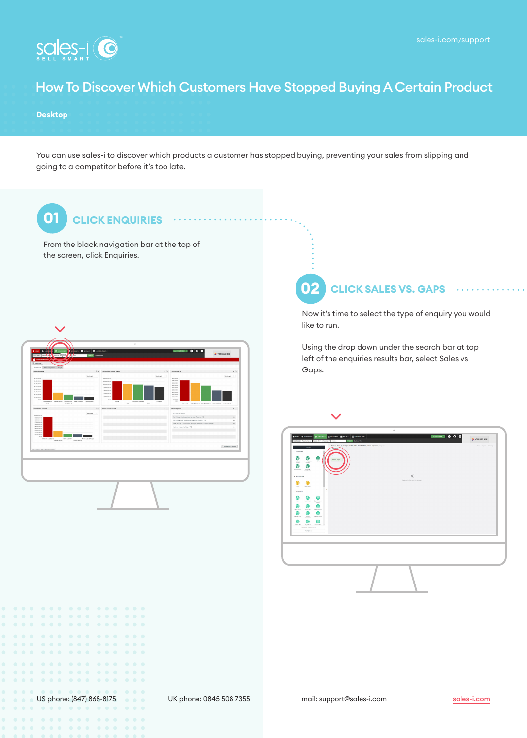**CA** YOUR LOCO HERE



### How To Discover Which Customers Have Stopped Buying A Certain Product

#### **Desktop**

You can use sales-i to discover which products a customer has stopped buying, preventing your sales from slipping and going to a competitor before it's too late.

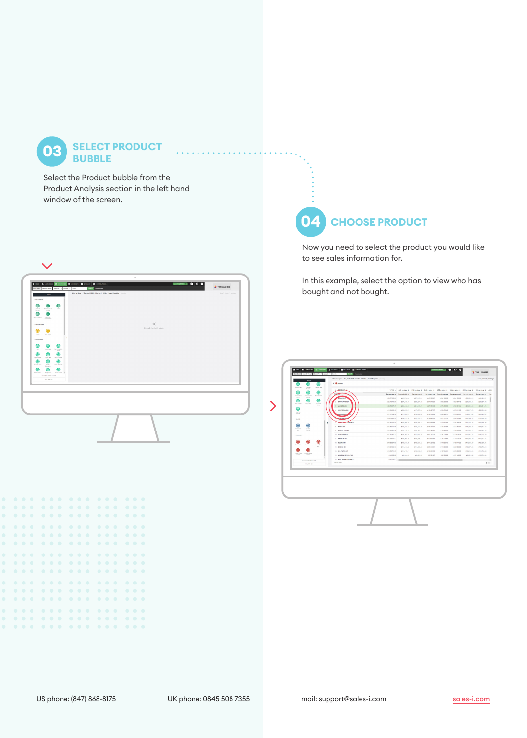**03 SELECT PRODUCT BUBBLE**

Select the Product bubble from the Product Analysis section in the left hand window of the screen.



## **04 CHOOSE PRODUCT**

Now you need to select the product you would like to see sales information for.

In this example, select the option to view who has bought and not bought.

| Month Of Yaar<br>Grevar<br>Grandy Year<br>Garry.<br>⋒<br>◉<br>⋒                                         | <b>C_AMODERS</b>                          |                                  | TOTAL . JAN L 2019 6 FEB L 2019 6 MAR L 2019 6 APR L 2019 6 MAY L 2019 6 JUN L 2019 6 JUL 2019 6 AUG |                              |                              |                                               |                              |                              |                                     |             |
|---------------------------------------------------------------------------------------------------------|-------------------------------------------|----------------------------------|------------------------------------------------------------------------------------------------------|------------------------------|------------------------------|-----------------------------------------------|------------------------------|------------------------------|-------------------------------------|-------------|
| FateRente<br><b>Franker</b> Text<br><b>County</b> Text<br>$rac{1}{2}$<br>Marsh.                         | <b>TOMAS</b>                              |                                  | \$92,559,494.95 \$40,058,488.96                                                                      | \$9.045.860.00               |                              | 59.724.368.09 \$40.387.735.94 \$40.403.623.30 |                              |                              | \$9.488.342.66 \$40.548.255.44 \$9. |             |
| ⋒<br>⊜<br>⋒                                                                                             | <b>BRAKE GISC</b><br><b>BRANS PAD SET</b> | \$3,877,565.30                   | \$427,784.44                                                                                         | \$377,137.20                 | \$445,335.87                 | \$454,188.03                                  | \$434,136.62                 | \$382,395.19                 | \$401,999.61                        |             |
| Ford Querer<br>Four feet<br><b>Ford Fax</b><br><b>Factor</b>                                            | 3 WATER PUMP                              | \$3,178,792.06<br>\$2,276,979.67 | \$374,430.10<br>\$251,206.63                                                                         | \$339,271.59<br>\$214,137.47 | \$367,978.29<br>1227, 132.60 | \$309,205.05<br>\$257,633.26                  | \$392,667.45<br>\$270,001.64 | \$335,920.61<br>\$228,900.26 | 1339, 170.72<br>1254, 117, 74       |             |
| ൈ                                                                                                       | CONTROL ARM                               | \$1,064,622.10                   | \$206,076.75                                                                                         | \$178,573.16                 | \$216,697.57                 | \$236,650.42                                  | \$305,011.63                 | \$188,173.76                 | \$232,007.36                        |             |
| Food Year<br>Quest                                                                                      | SHOCK ASSOR                               | \$1,777,592.76                   | \$175,600.73                                                                                         | \$100,400.35                 | \$176,303.45                 | \$206,209.77                                  | 5193.622.21                  | \$190,271.44                 | 1220,092.62                         |             |
| $+ 34444$                                                                                               | <b>MANAGE COUP</b>                        | \$1,678,062.60                   | \$100,211.53                                                                                         | \$174,131.52                 | \$176,646.55                 | \$182,127.76                                  | \$184,513.48                 | \$161,000.52                 | 1200.130.43                         |             |
| ٠                                                                                                       | <b>WINDLIGHT KISSUELY</b>                 | 11,366,365.65                    | \$172,905.40                                                                                         | 1138, 105.33                 | 1152,068.99                  | \$147,052.03                                  | \$149,708.79                 | \$121,033.68                 | 1157,590.90                         |             |
| $\circledcirc$<br>ദ                                                                                     | $A$ <i><b>BADIATOR</b></i>                | \$1,205,417.36                   | \$138,402.73                                                                                         | \$124,132.90                 | \$138,712.04                 | \$147,112.66                                  | \$134,452.34                 | \$131,336.54                 | \$153,219.43                        |             |
| Practicerists.<br><b>ISLAND</b><br>104<br><b>SALEMA</b>                                                 | <b>0 ENGINE MOUNT</b>                     | \$1,222,510.65                   | \$148,130.66                                                                                         | \$125,752.44                 | \$134,150.74                 | \$142,888.00                                  | \$126,730.62                 | \$119,687.66                 | \$133,222.56                        |             |
| $-$ PRODUCT                                                                                             | 12 Intermore con;                         | 11,191,921.63                    | \$141,553.48                                                                                         | 1119.520.20                  | 1140,251.16                  | \$136,704.94                                  | 1133.624.73                  | 1116,918.82                  | 1131,000.05                         |             |
|                                                                                                         | 11 SPARK PLUG                             | \$1,113,077.12                   | \$138,093.99                                                                                         | \$106,066.47                 | \$117,656.89                 | \$125,379.63                                  | \$124,505.75                 | \$104,981.19                 | \$117,716.61                        |             |
| ⋒<br>О<br><b>President Coole</b><br>Metalenzer<br><b><i><u><i><u><b>Dentandrate</b></u></i></u></i></b> | 12 CLUTCH KIT                             | \$1,063,570.20                   | \$109,607.75                                                                                         | \$100,216.12                 | \$114,309.02                 | \$111,893.19                                  | \$118,644.26                 | \$112,048.37                 | 1121.009.06                         |             |
| Dealer 1                                                                                                | 13 ENGINE OIL                             | \$1,009,359.35                   | \$111,184.82                                                                                         | \$115,800.60                 | \$109,640.51                 | \$111,303.66                                  | \$123,950.83                 | \$108,079.24                 | \$106,732.10                        |             |
| ⋒<br>FISHERING PINATRIC                                                                                 | 14 OR RETIRATE                            | \$1,033,719.89                   | \$114,176,11                                                                                         | \$107,122.99                 | \$110,082.09                 | \$118,764.01                                  | \$123,088.30                 | \$104,101.24                 | \$111,734.50                        |             |
| Level 2<br>Level 3                                                                                      | 15 WINDOW REGULATOR                       | 1940 556.48                      | 193.034.18                                                                                           | \$53,961.72                  | \$95,321,87                  | 156,522,83                                    | \$105,148.35                 | \$94,321,34                  | 1106,785.48                         |             |
| <b>GECOND DIMENSION</b>                                                                                 | 16 FUEL PUMP ASSEMBLY                     |                                  |                                                                                                      | 120,000                      | ALLAN A                      | -----                                         | <b>ARANGER</b>               | $1.18 - 1.08 + 1.1$          | <b>COMMAND</b>                      |             |
| FILTER IST                                                                                              | Results: \$462                            |                                  |                                                                                                      |                              |                              |                                               |                              |                              |                                     | <b>BRID</b> |
|                                                                                                         |                                           |                                  |                                                                                                      |                              |                              |                                               |                              |                              |                                     |             |